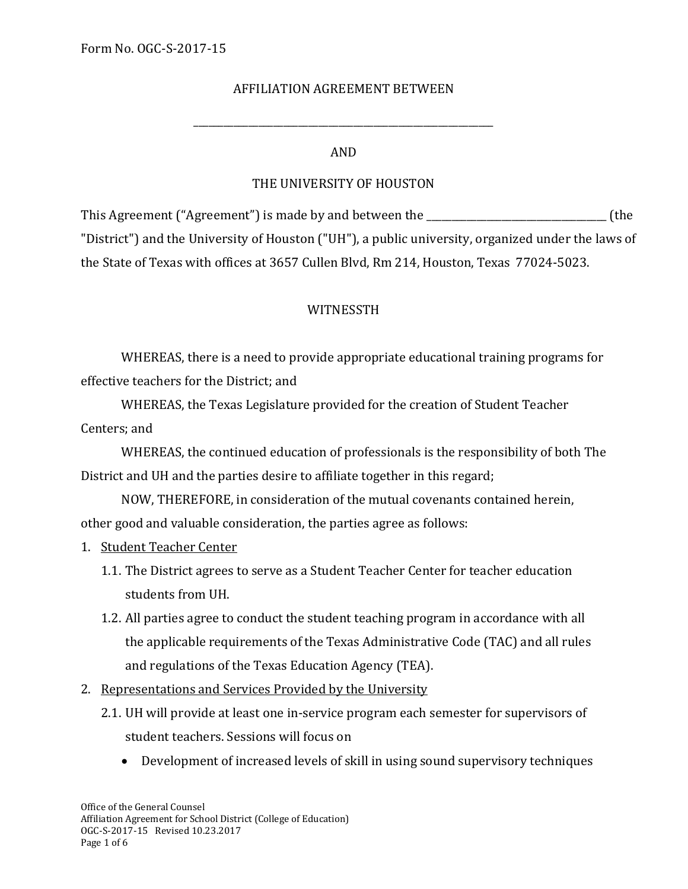## AFFILIATION AGREEMENT BETWEEN

#### AND

\_\_\_\_\_\_\_\_\_\_\_\_\_\_\_\_\_\_\_\_\_\_\_\_\_\_\_\_\_\_\_\_\_\_\_\_\_\_\_\_\_\_\_\_\_\_\_\_\_\_\_\_\_\_\_\_\_\_\_\_

## THE UNIVERSITY OF HOUSTON

This Agreement ("Agreement") is made by and between the \_\_\_\_\_\_\_\_\_\_\_\_\_\_\_\_\_\_\_\_\_\_\_\_\_\_\_\_\_\_\_\_\_\_\_\_ (the "District") and the University of Houston ("UH"), a public university, organized under the laws of the State of Texas with offices at 3657 Cullen Blvd, Rm 214, Houston, Texas 77024-5023.

#### WITNESSTH

WHEREAS, there is a need to provide appropriate educational training programs for effective teachers for the District; and

WHEREAS, the Texas Legislature provided for the creation of Student Teacher Centers; and

WHEREAS, the continued education of professionals is the responsibility of both The District and UH and the parties desire to affiliate together in this regard;

NOW, THEREFORE, in consideration of the mutual covenants contained herein, other good and valuable consideration, the parties agree as follows:

- 1. Student Teacher Center
	- 1.1. The District agrees to serve as a Student Teacher Center for teacher education students from UH.
	- 1.2. All parties agree to conduct the student teaching program in accordance with all the applicable requirements of the Texas Administrative Code (TAC) and all rules and regulations of the Texas Education Agency (TEA).
- 2. Representations and Services Provided by the University
	- 2.1. UH will provide at least one in-service program each semester for supervisors of student teachers. Sessions will focus on
		- Development of increased levels of skill in using sound supervisory techniques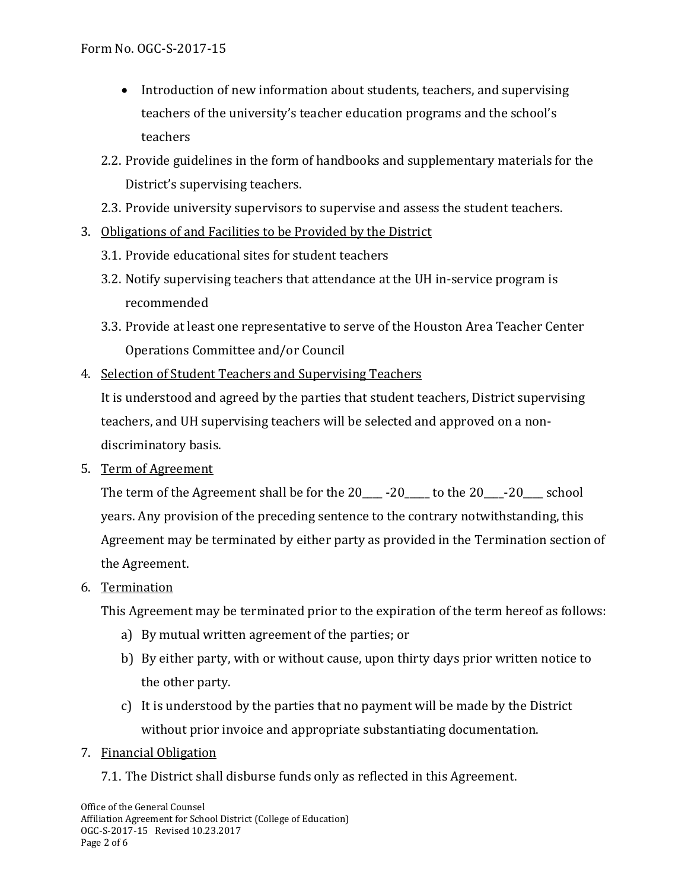- Introduction of new information about students, teachers, and supervising teachers of the university's teacher education programs and the school's teachers
- 2.2. Provide guidelines in the form of handbooks and supplementary materials for the District's supervising teachers.
- 2.3. Provide university supervisors to supervise and assess the student teachers.
- 3. Obligations of and Facilities to be Provided by the District
	- 3.1. Provide educational sites for student teachers
	- 3.2. Notify supervising teachers that attendance at the UH in-service program is recommended
	- 3.3. Provide at least one representative to serve of the Houston Area Teacher Center Operations Committee and/or Council
- 4. Selection of Student Teachers and Supervising Teachers

It is understood and agreed by the parties that student teachers, District supervising teachers, and UH supervising teachers will be selected and approved on a nondiscriminatory basis.

5. Term of Agreement

The term of the Agreement shall be for the  $20 - 20$  to the  $20 - 20$  school years. Any provision of the preceding sentence to the contrary notwithstanding, this Agreement may be terminated by either party as provided in the Termination section of the Agreement.

6. Termination

This Agreement may be terminated prior to the expiration of the term hereof as follows:

- a) By mutual written agreement of the parties; or
- b) By either party, with or without cause, upon thirty days prior written notice to the other party.
- c) It is understood by the parties that no payment will be made by the District without prior invoice and appropriate substantiating documentation.
- 7. Financial Obligation
	- 7.1. The District shall disburse funds only as reflected in this Agreement.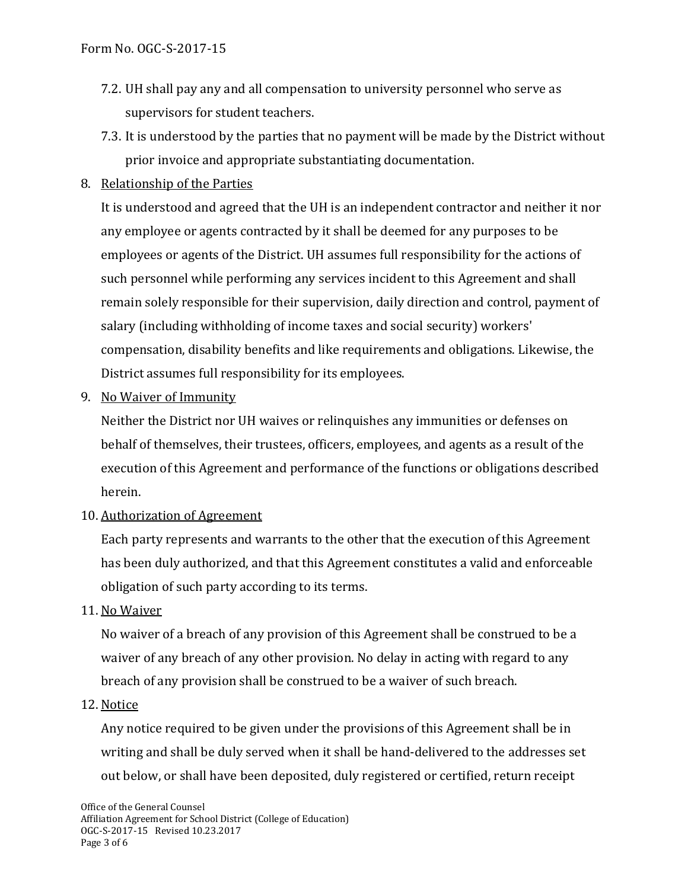- 7.2. UH shall pay any and all compensation to university personnel who serve as supervisors for student teachers.
- 7.3. It is understood by the parties that no payment will be made by the District without prior invoice and appropriate substantiating documentation.
- 8. Relationship of the Parties

It is understood and agreed that the UH is an independent contractor and neither it nor any employee or agents contracted by it shall be deemed for any purposes to be employees or agents of the District. UH assumes full responsibility for the actions of such personnel while performing any services incident to this Agreement and shall remain solely responsible for their supervision, daily direction and control, payment of salary (including withholding of income taxes and social security) workers' compensation, disability benefits and like requirements and obligations. Likewise, the District assumes full responsibility for its employees.

9. No Waiver of Immunity

Neither the District nor UH waives or relinquishes any immunities or defenses on behalf of themselves, their trustees, officers, employees, and agents as a result of the execution of this Agreement and performance of the functions or obligations described herein.

10. Authorization of Agreement

Each party represents and warrants to the other that the execution of this Agreement has been duly authorized, and that this Agreement constitutes a valid and enforceable obligation of such party according to its terms.

11. No Waiver

No waiver of a breach of any provision of this Agreement shall be construed to be a waiver of any breach of any other provision. No delay in acting with regard to any breach of any provision shall be construed to be a waiver of such breach.

12. Notice

Any notice required to be given under the provisions of this Agreement shall be in writing and shall be duly served when it shall be hand-delivered to the addresses set out below, or shall have been deposited, duly registered or certified, return receipt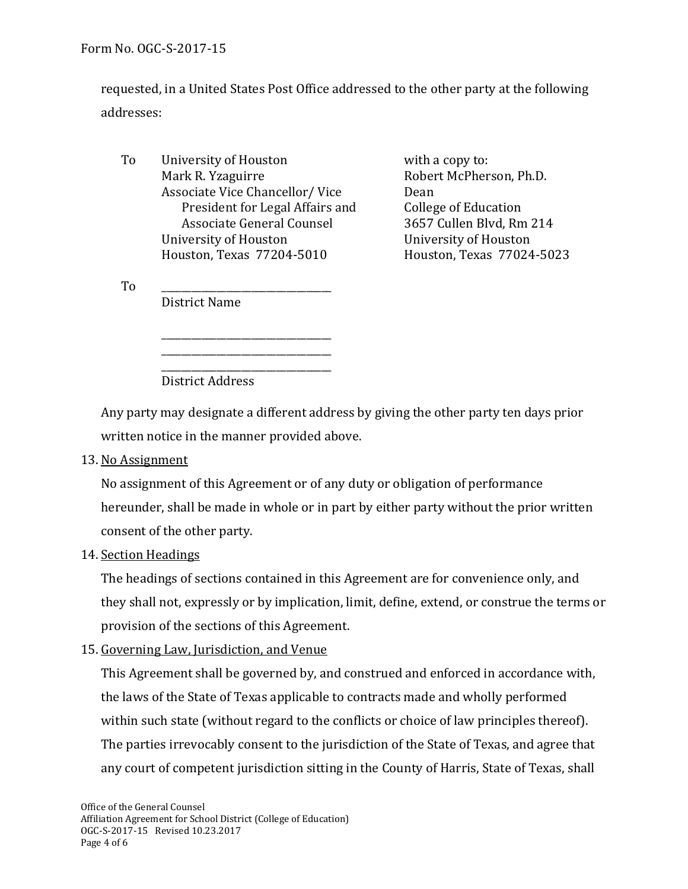Form No. OGC-S-2017-15

requested, in a United States Post Office addressed to the other party at the following addresses:

To University of Houston<br>Mark R. Yzaguirre metals of the Robert McPher Associate Vice Chancellor/Vice Dean<br>President for Legal Affairs and College of Education President for Legal Affairs and College of Education<br>Associate General Counsel 3657 Cullen Blvd, Rm 214 Associate General Counsel 3657 Cullen Blvd, Rm 214 University of Houston<br>
Houston Texas 77204-5010<br>
Houston Texas 77024-5023 Houston, Texas 77204-5010 Houston, Texas 77024-5023

\_\_\_\_\_\_\_\_\_\_\_\_\_\_\_\_\_\_\_\_\_\_\_\_\_\_\_\_\_\_\_\_\_\_ \_\_\_\_\_\_\_\_\_\_\_\_\_\_\_\_\_\_\_\_\_\_\_\_\_\_\_\_\_\_\_\_\_\_ Robert McPherson, Ph.D.<br>Dean

 $To$   $\qquad \qquad \qquad$ District Name

> \_\_\_\_\_\_\_\_\_\_\_\_\_\_\_\_\_\_\_\_\_\_\_\_\_\_\_\_\_\_\_\_\_\_ District Address

Any party may designate a different address by giving the other party ten days prior written notice in the manner provided above.

13. No Assignment

No assignment of this Agreement or of any duty or obligation of performance hereunder, shall be made in whole or in part by either party without the prior written consent of the other party.

14. Section Headings

The headings of sections contained in this Agreement are for convenience only, and they shall not, expressly or by implication, limit, define, extend, or construe the terms or provision of the sections of this Agreement.

15. Governing Law, Jurisdiction, and Venue

This Agreement shall be governed by, and construed and enforced in accordance with, the laws of the State of Texas applicable to contracts made and wholly performed within such state (without regard to the conflicts or choice of law principles thereof). The parties irrevocably consent to the jurisdiction of the State of Texas, and agree that any court of competent jurisdiction sitting in the County of Harris, State of Texas, shall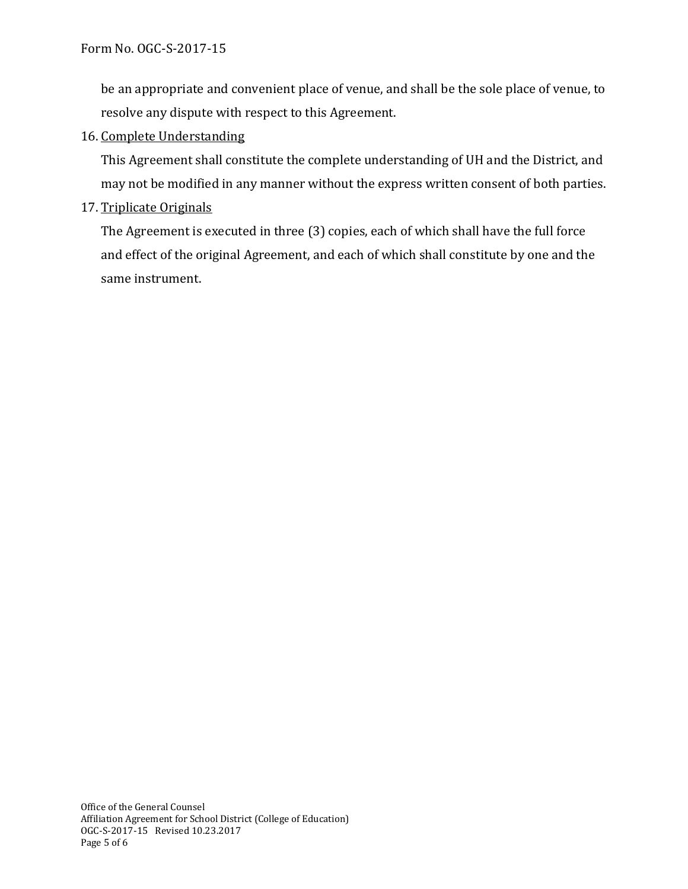be an appropriate and convenient place of venue, and shall be the sole place of venue, to resolve any dispute with respect to this Agreement.

# 16. Complete Understanding

This Agreement shall constitute the complete understanding of UH and the District, and may not be modified in any manner without the express written consent of both parties.

## 17. Triplicate Originals

The Agreement is executed in three (3) copies, each of which shall have the full force and effect of the original Agreement, and each of which shall constitute by one and the same instrument.